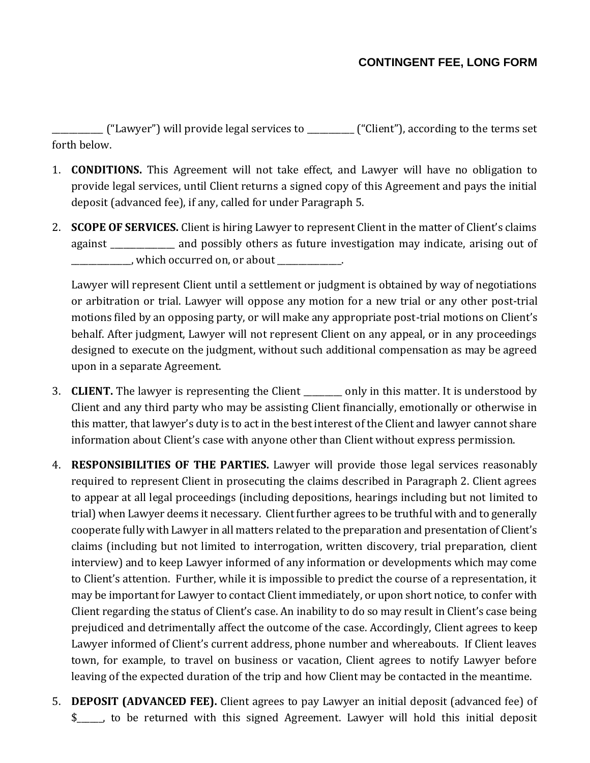# **CONTINGENT FEE, LONG FORM**

\_\_\_\_\_\_\_\_\_\_\_\_ ("Lawyer") will provide legal services to \_\_\_\_\_\_\_\_\_\_\_ ("Client"), according to the terms set forth below.

- 1. **CONDITIONS.** This Agreement will not take effect, and Lawyer will have no obligation to provide legal services, until Client returns a signed copy of this Agreement and pays the initial deposit (advanced fee), if any, called for under Paragraph 5.
- 2. **SCOPE OF SERVICES.** Client is hiring Lawyer to represent Client in the matter of Client's claims against \_\_\_\_\_\_\_\_\_\_\_\_ and possibly others as future investigation may indicate, arising out of \_\_\_\_\_\_\_\_\_\_\_, which occurred on, or about \_\_\_\_\_\_\_\_\_\_\_\_\_.

Lawyer will represent Client until a settlement or judgment is obtained by way of negotiations or arbitration or trial. Lawyer will oppose any motion for a new trial or any other post-trial motions filed by an opposing party, or will make any appropriate post-trial motions on Client's behalf. After judgment, Lawyer will not represent Client on any appeal, or in any proceedings designed to execute on the judgment, without such additional compensation as may be agreed upon in a separate Agreement.

- 3. **CLIENT.** The lawyer is representing the Client \_\_\_\_\_\_\_\_\_ only in this matter. It is understood by Client and any third party who may be assisting Client financially, emotionally or otherwise in this matter, that lawyer's duty is to act in the best interest of the Client and lawyer cannot share information about Client's case with anyone other than Client without express permission.
- 4. **RESPONSIBILITIES OF THE PARTIES.** Lawyer will provide those legal services reasonably required to represent Client in prosecuting the claims described in Paragraph 2. Client agrees to appear at all legal proceedings (including depositions, hearings including but not limited to trial) when Lawyer deems it necessary. Client further agrees to be truthful with and to generally cooperate fully with Lawyer in all matters related to the preparation and presentation of Client's claims (including but not limited to interrogation, written discovery, trial preparation, client interview) and to keep Lawyer informed of any information or developments which may come to Client's attention. Further, while it is impossible to predict the course of a representation, it may be important for Lawyer to contact Client immediately, or upon short notice, to confer with Client regarding the status of Client's case. An inability to do so may result in Client's case being prejudiced and detrimentally affect the outcome of the case. Accordingly, Client agrees to keep Lawyer informed of Client's current address, phone number and whereabouts. If Client leaves town, for example, to travel on business or vacation, Client agrees to notify Lawyer before leaving of the expected duration of the trip and how Client may be contacted in the meantime.
- 5. **DEPOSIT (ADVANCED FEE).** Client agrees to pay Lawyer an initial deposit (advanced fee) of \$\_\_\_\_\_\_, to be returned with this signed Agreement. Lawyer will hold this initial deposit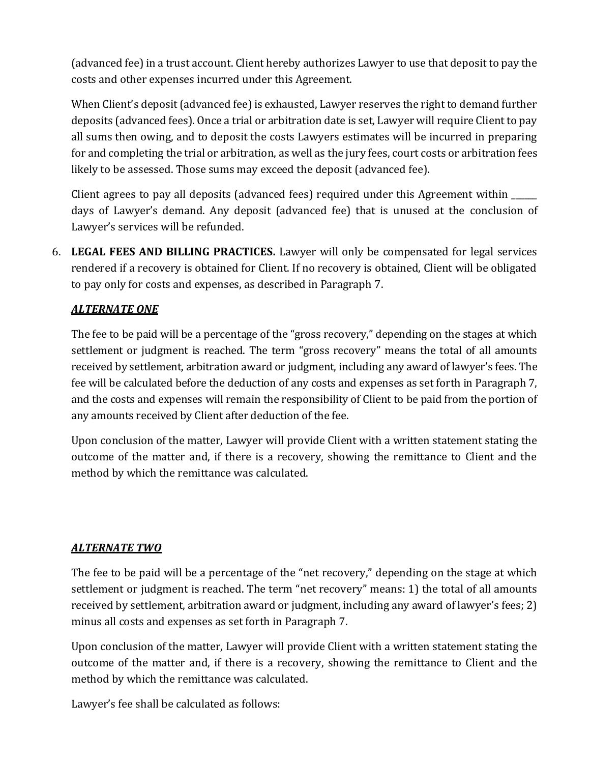(advanced fee) in a trust account. Client hereby authorizes Lawyer to use that deposit to pay the costs and other expenses incurred under this Agreement.

When Client's deposit (advanced fee) is exhausted, Lawyer reserves the right to demand further deposits (advanced fees). Once a trial or arbitration date is set, Lawyer will require Client to pay all sums then owing, and to deposit the costs Lawyers estimates will be incurred in preparing for and completing the trial or arbitration, as well as the jury fees, court costs or arbitration fees likely to be assessed. Those sums may exceed the deposit (advanced fee).

Client agrees to pay all deposits (advanced fees) required under this Agreement within \_\_\_\_\_\_ days of Lawyer's demand. Any deposit (advanced fee) that is unused at the conclusion of Lawyer's services will be refunded.

6. **LEGAL FEES AND BILLING PRACTICES.** Lawyer will only be compensated for legal services rendered if a recovery is obtained for Client. If no recovery is obtained, Client will be obligated to pay only for costs and expenses, as described in Paragraph 7.

# *ALTERNATE ONE*

The fee to be paid will be a percentage of the "gross recovery," depending on the stages at which settlement or judgment is reached. The term "gross recovery" means the total of all amounts received by settlement, arbitration award or judgment, including any award of lawyer's fees. The fee will be calculated before the deduction of any costs and expenses as set forth in Paragraph 7, and the costs and expenses will remain the responsibility of Client to be paid from the portion of any amounts received by Client after deduction of the fee.

Upon conclusion of the matter, Lawyer will provide Client with a written statement stating the outcome of the matter and, if there is a recovery, showing the remittance to Client and the method by which the remittance was calculated.

#### *ALTERNATE TWO*

The fee to be paid will be a percentage of the "net recovery," depending on the stage at which settlement or judgment is reached. The term "net recovery" means: 1) the total of all amounts received by settlement, arbitration award or judgment, including any award of lawyer's fees; 2) minus all costs and expenses as set forth in Paragraph 7.

Upon conclusion of the matter, Lawyer will provide Client with a written statement stating the outcome of the matter and, if there is a recovery, showing the remittance to Client and the method by which the remittance was calculated.

Lawyer's fee shall be calculated as follows: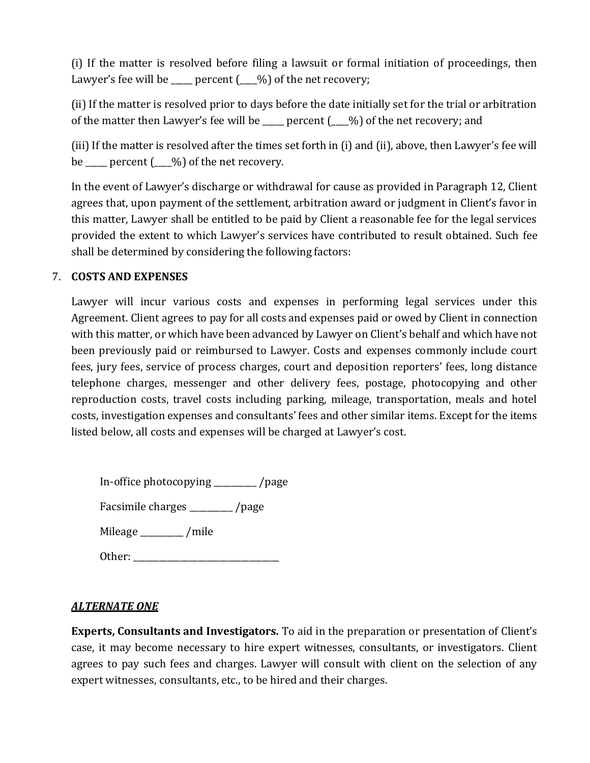(i) If the matter is resolved before filing a lawsuit or formal initiation of proceedings, then Lawyer's fee will be \_\_\_\_\_ percent  $($  \_\_\_%) of the net recovery;

(ii) If the matter is resolved prior to days before the date initially set for the trial or arbitration of the matter then Lawyer's fee will be \_\_\_\_\_ percent (\_\_\_\_%) of the net recovery; and

(iii) If the matter is resolved after the times set forth in (i) and (ii), above, then Lawyer's fee will be \_\_\_\_\_ percent ( $\_\%$ ) of the net recovery.

In the event of Lawyer's discharge or withdrawal for cause as provided in Paragraph 12, Client agrees that, upon payment of the settlement, arbitration award or judgment in Client's favor in this matter, Lawyer shall be entitled to be paid by Client a reasonable fee for the legal services provided the extent to which Lawyer's services have contributed to result obtained. Such fee shall be determined by considering the following factors:

# 7. **COSTS AND EXPENSES**

Lawyer will incur various costs and expenses in performing legal services under this Agreement. Client agrees to pay for all costs and expenses paid or owed by Client in connection with this matter, or which have been advanced by Lawyer on Client's behalf and which have not been previously paid or reimbursed to Lawyer. Costs and expenses commonly include court fees, jury fees, service of process charges, court and deposition reporters' fees, long distance telephone charges, messenger and other delivery fees, postage, photocopying and other reproduction costs, travel costs including parking, mileage, transportation, meals and hotel costs, investigation expenses and consultants' fees and other similar items. Except for the items listed below, all costs and expenses will be charged at Lawyer's cost.

In-office photocopying \_\_\_\_\_\_\_\_\_\_ /page

Facsimile charges \_\_\_\_\_\_\_\_\_\_ /page

Mileage \_\_\_\_\_\_\_\_\_\_ /mile

Other: \_\_\_\_\_\_\_\_\_\_\_\_\_\_\_\_\_\_\_\_\_\_\_\_\_\_\_\_\_\_\_\_\_\_

#### *ALTERNATE ONE*

**Experts, Consultants and Investigators.** To aid in the preparation or presentation of Client's case, it may become necessary to hire expert witnesses, consultants, or investigators. Client agrees to pay such fees and charges. Lawyer will consult with client on the selection of any expert witnesses, consultants, etc., to be hired and their charges.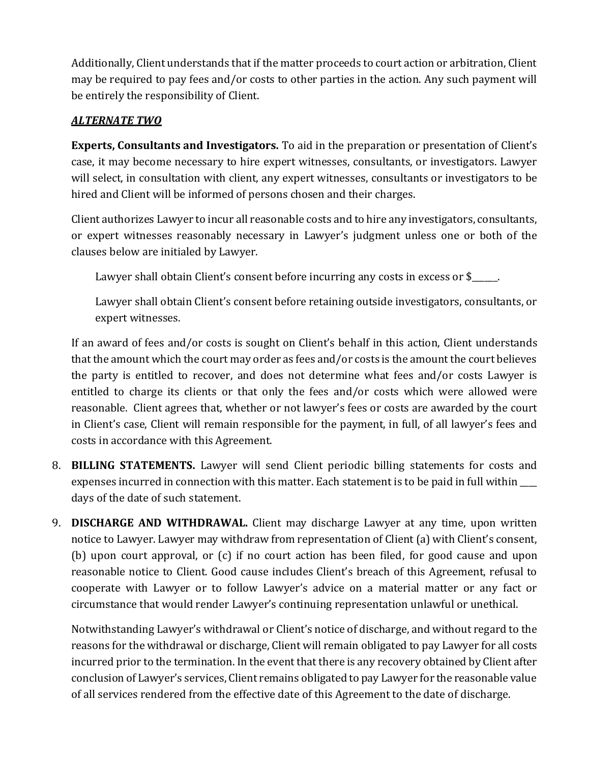Additionally, Client understands that if the matter proceeds to court action or arbitration, Client may be required to pay fees and/or costs to other parties in the action. Any such payment will be entirely the responsibility of Client.

### *ALTERNATE TWO*

**Experts, Consultants and Investigators.** To aid in the preparation or presentation of Client's case, it may become necessary to hire expert witnesses, consultants, or investigators. Lawyer will select, in consultation with client, any expert witnesses, consultants or investigators to be hired and Client will be informed of persons chosen and their charges.

Client authorizes Lawyer to incur all reasonable costs and to hire any investigators, consultants, or expert witnesses reasonably necessary in Lawyer's judgment unless one or both of the clauses below are initialed by Lawyer.

Lawyer shall obtain Client's consent before incurring any costs in excess or \$

Lawyer shall obtain Client's consent before retaining outside investigators, consultants, or expert witnesses.

If an award of fees and/or costs is sought on Client's behalf in this action, Client understands that the amount which the court may order as fees and/or costs is the amount the court believes the party is entitled to recover, and does not determine what fees and/or costs Lawyer is entitled to charge its clients or that only the fees and/or costs which were allowed were reasonable. Client agrees that, whether or not lawyer's fees or costs are awarded by the court in Client's case, Client will remain responsible for the payment, in full, of all lawyer's fees and costs in accordance with this Agreement.

- 8. **BILLING STATEMENTS.** Lawyer will send Client periodic billing statements for costs and expenses incurred in connection with this matter. Each statement is to be paid in full within  $\frac{1}{\sqrt{2}}$ days of the date of such statement.
- 9. **DISCHARGE AND WITHDRAWAL.** Client may discharge Lawyer at any time, upon written notice to Lawyer. Lawyer may withdraw from representation of Client (a) with Client's consent, (b) upon court approval, or (c) if no court action has been filed, for good cause and upon reasonable notice to Client. Good cause includes Client's breach of this Agreement, refusal to cooperate with Lawyer or to follow Lawyer's advice on a material matter or any fact or circumstance that would render Lawyer's continuing representation unlawful or unethical.

Notwithstanding Lawyer's withdrawal or Client's notice of discharge, and without regard to the reasons for the withdrawal or discharge, Client will remain obligated to pay Lawyer for all costs incurred prior to the termination. In the event that there is any recovery obtained by Client after conclusion of Lawyer's services, Client remains obligated to pay Lawyer for the reasonable value of all services rendered from the effective date of this Agreement to the date of discharge.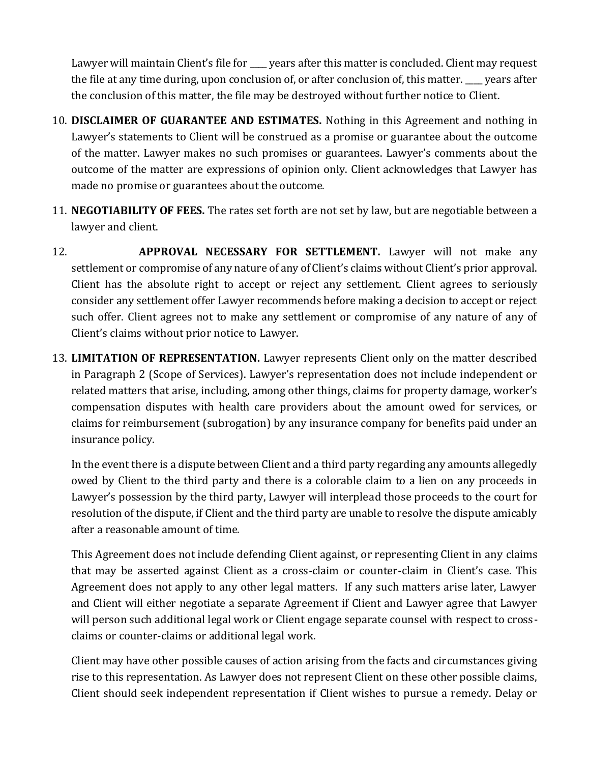Lawyer will maintain Client's file for same years after this matter is concluded. Client may request the file at any time during, upon conclusion of, or after conclusion of, this matter. \_\_\_\_ years after the conclusion of this matter, the file may be destroyed without further notice to Client.

- 10. **DISCLAIMER OF GUARANTEE AND ESTIMATES.** Nothing in this Agreement and nothing in Lawyer's statements to Client will be construed as a promise or guarantee about the outcome of the matter. Lawyer makes no such promises or guarantees. Lawyer's comments about the outcome of the matter are expressions of opinion only. Client acknowledges that Lawyer has made no promise or guarantees about the outcome.
- 11. **NEGOTIABILITY OF FEES.** The rates set forth are not set by law, but are negotiable between a lawyer and client.
- 12. **APPROVAL NECESSARY FOR SETTLEMENT.** Lawyer will not make any settlement or compromise of any nature of any of Client's claims without Client's prior approval. Client has the absolute right to accept or reject any settlement. Client agrees to seriously consider any settlement offer Lawyer recommends before making a decision to accept or reject such offer. Client agrees not to make any settlement or compromise of any nature of any of Client's claims without prior notice to Lawyer.
- 13. **LIMITATION OF REPRESENTATION.** Lawyer represents Client only on the matter described in Paragraph 2 (Scope of Services). Lawyer's representation does not include independent or related matters that arise, including, among other things, claims for property damage, worker's compensation disputes with health care providers about the amount owed for services, or claims for reimbursement (subrogation) by any insurance company for benefits paid under an insurance policy.

In the event there is a dispute between Client and a third party regarding any amounts allegedly owed by Client to the third party and there is a colorable claim to a lien on any proceeds in Lawyer's possession by the third party, Lawyer will interplead those proceeds to the court for resolution of the dispute, if Client and the third party are unable to resolve the dispute amicably after a reasonable amount of time.

This Agreement does not include defending Client against, or representing Client in any claims that may be asserted against Client as a cross-claim or counter-claim in Client's case. This Agreement does not apply to any other legal matters. If any such matters arise later, Lawyer and Client will either negotiate a separate Agreement if Client and Lawyer agree that Lawyer will person such additional legal work or Client engage separate counsel with respect to crossclaims or counter-claims or additional legal work.

Client may have other possible causes of action arising from the facts and circumstances giving rise to this representation. As Lawyer does not represent Client on these other possible claims, Client should seek independent representation if Client wishes to pursue a remedy. Delay or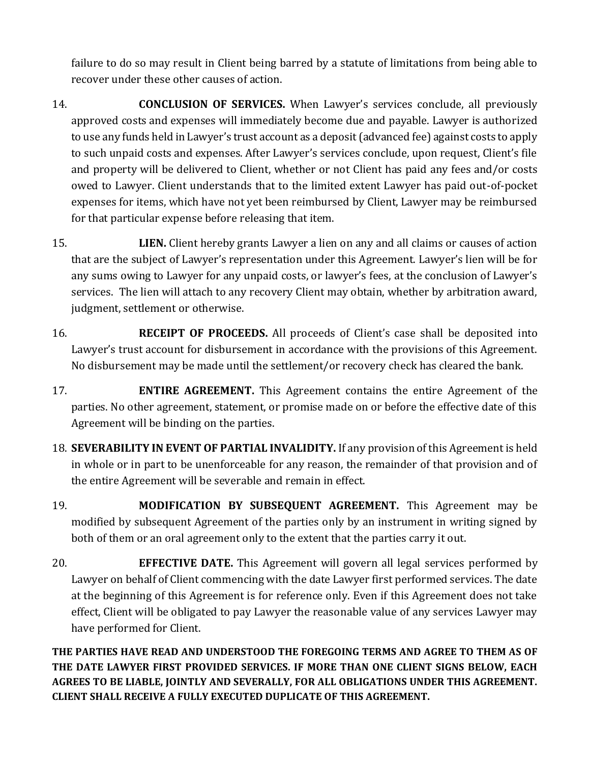failure to do so may result in Client being barred by a statute of limitations from being able to recover under these other causes of action.

- 14. **CONCLUSION OF SERVICES.** When Lawyer's services conclude, all previously approved costs and expenses will immediately become due and payable. Lawyer is authorized to use any funds held in Lawyer's trust account as a deposit (advanced fee) against costs to apply to such unpaid costs and expenses. After Lawyer's services conclude, upon request, Client's file and property will be delivered to Client, whether or not Client has paid any fees and/or costs owed to Lawyer. Client understands that to the limited extent Lawyer has paid out-of-pocket expenses for items, which have not yet been reimbursed by Client, Lawyer may be reimbursed for that particular expense before releasing that item.
- 15. **LIEN.** Client hereby grants Lawyer a lien on any and all claims or causes of action that are the subject of Lawyer's representation under this Agreement. Lawyer's lien will be for any sums owing to Lawyer for any unpaid costs, or lawyer's fees, at the conclusion of Lawyer's services. The lien will attach to any recovery Client may obtain, whether by arbitration award, judgment, settlement or otherwise.
- 16. **RECEIPT OF PROCEEDS.** All proceeds of Client's case shall be deposited into Lawyer's trust account for disbursement in accordance with the provisions of this Agreement. No disbursement may be made until the settlement/or recovery check has cleared the bank.
- 17. **ENTIRE AGREEMENT.** This Agreement contains the entire Agreement of the parties. No other agreement, statement, or promise made on or before the effective date of this Agreement will be binding on the parties.
- 18. **SEVERABILITY IN EVENT OF PARTIAL INVALIDITY.** If any provision of this Agreement is held in whole or in part to be unenforceable for any reason, the remainder of that provision and of the entire Agreement will be severable and remain in effect.
- 19. **MODIFICATION BY SUBSEQUENT AGREEMENT.** This Agreement may be modified by subsequent Agreement of the parties only by an instrument in writing signed by both of them or an oral agreement only to the extent that the parties carry it out.
- 20. **EFFECTIVE DATE.** This Agreement will govern all legal services performed by Lawyer on behalf of Client commencing with the date Lawyer first performed services. The date at the beginning of this Agreement is for reference only. Even if this Agreement does not take effect, Client will be obligated to pay Lawyer the reasonable value of any services Lawyer may have performed for Client.

**THE PARTIES HAVE READ AND UNDERSTOOD THE FOREGOING TERMS AND AGREE TO THEM AS OF THE DATE LAWYER FIRST PROVIDED SERVICES. IF MORE THAN ONE CLIENT SIGNS BELOW, EACH AGREES TO BE LIABLE, JOINTLY AND SEVERALLY, FOR ALL OBLIGATIONS UNDER THIS AGREEMENT. CLIENT SHALL RECEIVE A FULLY EXECUTED DUPLICATE OF THIS AGREEMENT.**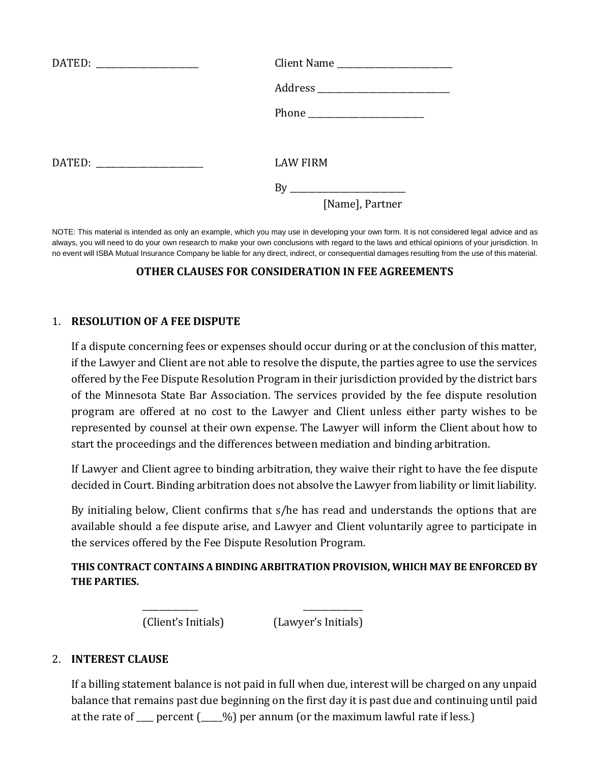| Address ___________________________ |
|-------------------------------------|
|                                     |
|                                     |
| <b>LAW FIRM</b>                     |
|                                     |
| [Name], Partner                     |

NOTE: This material is intended as only an example, which you may use in developing your own form. It is not considered legal advice and as always, you will need to do your own research to make your own conclusions with regard to the laws and ethical opinions of your jurisdiction. In no event will ISBA Mutual Insurance Company be liable for any direct, indirect, or consequential damages resulting from the use of this material.

#### **OTHER CLAUSES FOR CONSIDERATION IN FEE AGREEMENTS**

#### 1. **RESOLUTION OF A FEE DISPUTE**

If a dispute concerning fees or expenses should occur during or at the conclusion of this matter, if the Lawyer and Client are not able to resolve the dispute, the parties agree to use the services offered by the Fee Dispute Resolution Program in their jurisdiction provided by the district bars of the Minnesota State Bar Association. The services provided by the fee dispute resolution program are offered at no cost to the Lawyer and Client unless either party wishes to be represented by counsel at their own expense. The Lawyer will inform the Client about how to start the proceedings and the differences between mediation and binding arbitration.

If Lawyer and Client agree to binding arbitration, they waive their right to have the fee dispute decided in Court. Binding arbitration does not absolve the Lawyer from liability or limit liability.

By initialing below, Client confirms that s/he has read and understands the options that are available should a fee dispute arise, and Lawyer and Client voluntarily agree to participate in the services offered by the Fee Dispute Resolution Program.

# **THIS CONTRACT CONTAINS A BINDING ARBITRATION PROVISION, WHICH MAY BE ENFORCED BY THE PARTIES.**

 $\overline{\phantom{a}}$  ,  $\overline{\phantom{a}}$  ,  $\overline{\phantom{a}}$  ,  $\overline{\phantom{a}}$  ,  $\overline{\phantom{a}}$  ,  $\overline{\phantom{a}}$  ,  $\overline{\phantom{a}}$  ,  $\overline{\phantom{a}}$  ,  $\overline{\phantom{a}}$  ,  $\overline{\phantom{a}}$  ,  $\overline{\phantom{a}}$  ,  $\overline{\phantom{a}}$  ,  $\overline{\phantom{a}}$  ,  $\overline{\phantom{a}}$  ,  $\overline{\phantom{a}}$  ,  $\overline{\phantom{a}}$ 

(Client's Initials) (Lawyer's Initials)

#### 2. **INTEREST CLAUSE**

If a billing statement balance is not paid in full when due, interest will be charged on any unpaid balance that remains past due beginning on the first day it is past due and continuing until paid at the rate of  $\_\_$  percent  $(\_\_%)$  per annum (or the maximum lawful rate if less.)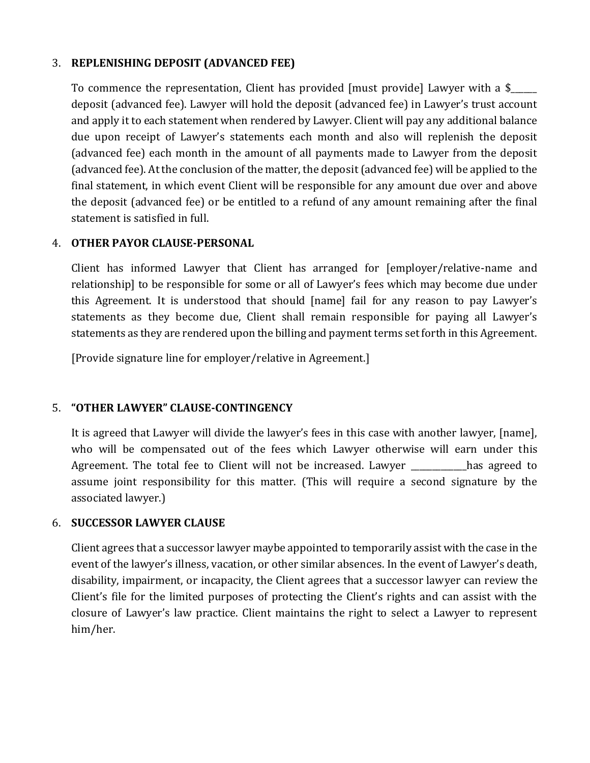#### 3. **REPLENISHING DEPOSIT (ADVANCED FEE)**

To commence the representation, Client has provided [must provide] Lawyer with a \$ deposit (advanced fee). Lawyer will hold the deposit (advanced fee) in Lawyer's trust account and apply it to each statement when rendered by Lawyer. Client will pay any additional balance due upon receipt of Lawyer's statements each month and also will replenish the deposit (advanced fee) each month in the amount of all payments made to Lawyer from the deposit (advanced fee). At the conclusion of the matter, the deposit (advanced fee) will be applied to the final statement, in which event Client will be responsible for any amount due over and above the deposit (advanced fee) or be entitled to a refund of any amount remaining after the final statement is satisfied in full.

### 4. **OTHER PAYOR CLAUSE-PERSONAL**

Client has informed Lawyer that Client has arranged for [employer/relative-name and relationship] to be responsible for some or all of Lawyer's fees which may become due under this Agreement. It is understood that should [name] fail for any reason to pay Lawyer's statements as they become due, Client shall remain responsible for paying all Lawyer's statements as they are rendered upon the billing and payment terms set forth in this Agreement.

[Provide signature line for employer/relative in Agreement.]

# 5. **"OTHER LAWYER" CLAUSE-CONTINGENCY**

It is agreed that Lawyer will divide the lawyer's fees in this case with another lawyer, [name], who will be compensated out of the fees which Lawyer otherwise will earn under this Agreement. The total fee to Client will not be increased. Lawyer \_\_\_\_\_\_\_\_\_\_\_\_\_has agreed to assume joint responsibility for this matter. (This will require a second signature by the associated lawyer.)

#### 6. **SUCCESSOR LAWYER CLAUSE**

Client agrees that a successor lawyer maybe appointed to temporarily assist with the case in the event of the lawyer's illness, vacation, or other similar absences. In the event of Lawyer's death, disability, impairment, or incapacity, the Client agrees that a successor lawyer can review the Client's file for the limited purposes of protecting the Client's rights and can assist with the closure of Lawyer's law practice. Client maintains the right to select a Lawyer to represent him/her.